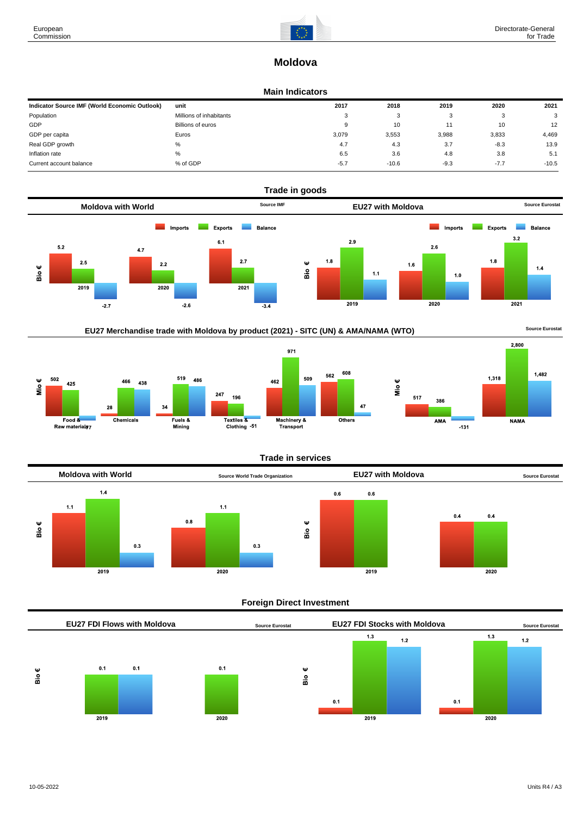

# **Moldova**

### **Main Indicators**

| Indicator Source IMF (World Economic Outlook) | unit                    | 2017   | 2018    | 2019   | 2020   | 2021    |
|-----------------------------------------------|-------------------------|--------|---------|--------|--------|---------|
| Population                                    | Millions of inhabitants | 3      | ົ<br>ت  |        |        | 3       |
| GDP                                           | Billions of euros       | 9      | 10      |        | 10     | 12      |
| GDP per capita                                | Euros                   | 3.079  | 3,553   | 3,988  | 3,833  | 4,469   |
| Real GDP growth                               | %                       | 4.7    | 4.3     | 3.7    | $-8.3$ | 13.9    |
| Inflation rate                                | $\%$                    | 6.5    | 3.6     | 4.8    | 3.8    | 5.1     |
| Current account balance                       | % of GDP                | $-5.7$ | $-10.6$ | $-9.3$ | $-7.7$ | $-10.5$ |



# EU27 Merchandise trade with Moldova by product (2021) - SITC (UN) & AMA/NAMA (WTO) **Source Eurostat**





### **Trade in services**

608



### **Foreign Direct Investment**